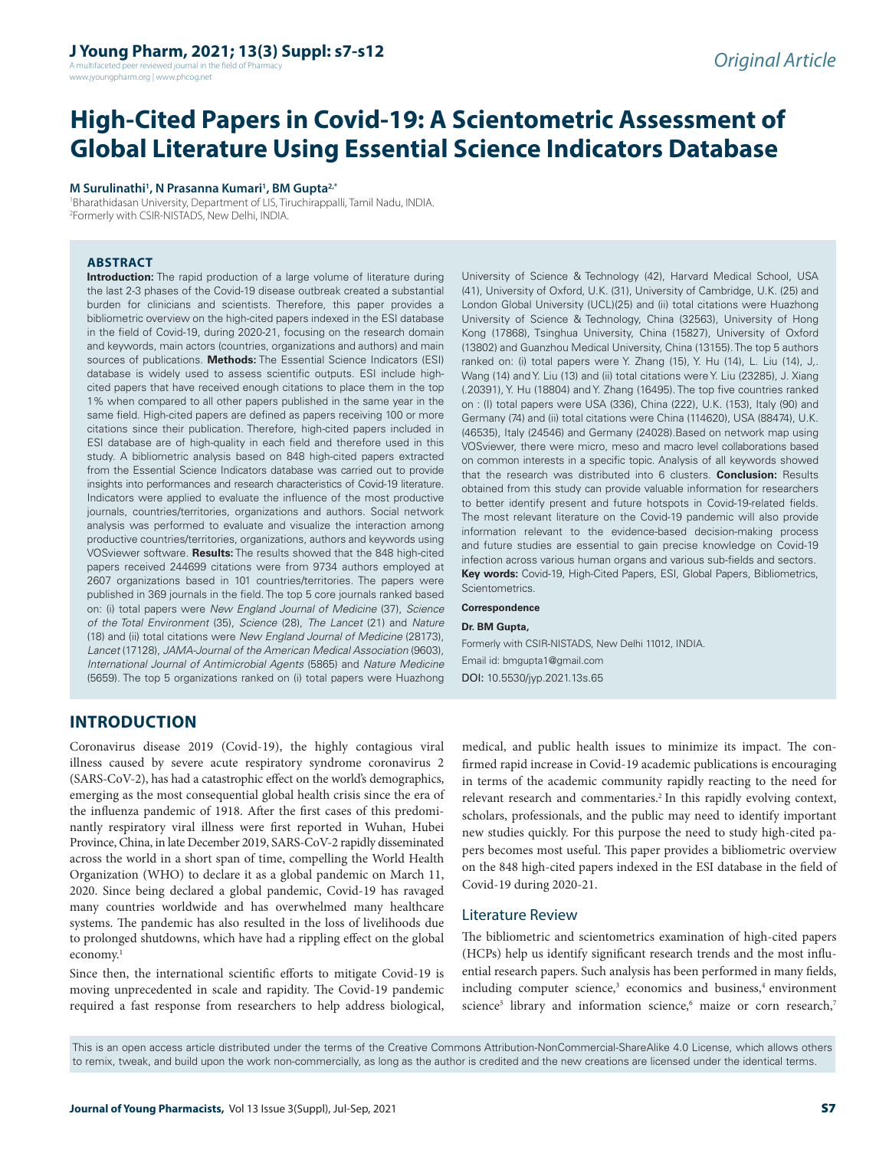A multifaceted peer reviewed journal in the field of Pharm www.jyoungpharm.org | www.phcog.net

# **High-Cited Papers in Covid-19: A Scientometric Assessment of Global Literature Using Essential Science Indicators Database**

#### **M Surulinathi1 , N Prasanna Kumari1 , BM Gupta2,\***

1 Bharathidasan University, Department of LIS, Tiruchirappalli, Tamil Nadu, INDIA. 2 Formerly with CSIR-NISTADS, New Delhi, INDIA.

## **ABSTRACT**

**Introduction:** The rapid production of a large volume of literature during the last 2-3 phases of the Covid-19 disease outbreak created a substantial burden for clinicians and scientists. Therefore, this paper provides a bibliometric overview on the high-cited papers indexed in the ESI database in the field of Covid-19, during 2020-21, focusing on the research domain and keywords, main actors (countries, organizations and authors) and main sources of publications. **Methods:** The Essential Science Indicators (ESI) database is widely used to assess scientific outputs. ESI include highcited papers that have received enough citations to place them in the top 1% when compared to all other papers published in the same year in the same field. High-cited papers are defined as papers receiving 100 or more citations since their publication. Therefore, high-cited papers included in ESI database are of high-quality in each field and therefore used in this study. A bibliometric analysis based on 848 high-cited papers extracted from the Essential Science Indicators database was carried out to provide insights into performances and research characteristics of Covid-19 literature. Indicators were applied to evaluate the influence of the most productive journals, countries/territories, organizations and authors. Social network analysis was performed to evaluate and visualize the interaction among productive countries/territories, organizations, authors and keywords using VOSviewer software. **Results:** The results showed that the 848 high-cited papers received 244699 citations were from 9734 authors employed at 2607 organizations based in 101 countries/territories. The papers were published in 369 journals in the field. The top 5 core journals ranked based on: (i) total papers were *New England Journal of Medicine* (37), *Science of the Total Environment* (35), *Science* (28), *The Lancet* (21) and *Nature*  (18) and (ii) total citations were *New England Journal of Medicine* (28173), *Lancet* (17128), *JAMA-Journal of the American Medical Association* (9603), *International Journal of Antimicrobial Agents* (5865) and *Nature Medicine*  (5659). The top 5 organizations ranked on (i) total papers were Huazhong

University of Science & Technology (42), Harvard Medical School, USA (41), University of Oxford, U.K. (31), University of Cambridge, U.K. (25) and London Global University (UCL)(25) and (ii) total citations were Huazhong University of Science & Technology, China (32563), University of Hong Kong (17868), Tsinghua University, China (15827), University of Oxford (13802) and Guanzhou Medical University, China (13155). The top 5 authors ranked on: (i) total papers were Y. Zhang (15), Y. Hu (14), L. Liu (14), J,. Wang (14) and Y. Liu (13) and (ii) total citations were Y. Liu (23285), J. Xiang (.20391), Y. Hu (18804) and Y. Zhang (16495). The top five countries ranked on : (I) total papers were USA (336), China (222), U.K. (153), Italy (90) and Germany (74) and (ii) total citations were China (114620), USA (88474), U.K. (46535), Italy (24546) and Germany (24028).Based on network map using VOSviewer, there were micro, meso and macro level collaborations based on common interests in a specific topic. Analysis of all keywords showed that the research was distributed into 6 clusters. **Conclusion:** Results obtained from this study can provide valuable information for researchers to better identify present and future hotspots in Covid-19-related fields. The most relevant literature on the Covid-19 pandemic will also provide information relevant to the evidence-based decision-making process and future studies are essential to gain precise knowledge on Covid-19 infection across various human organs and various sub-fields and sectors. **Key words:** Covid-19, High-Cited Papers, ESI, Global Papers, Bibliometrics, Scientometrics.

#### **Correspondence**

#### **Dr. BM Gupta,**

Formerly with CSIR-NISTADS, New Delhi 11012, INDIA. Email id: bmgupta1@gmail.com DOI: 10.5530/jyp.2021.13s.65

# **INTRODUCTION**

Coronavirus disease 2019 (Covid-19), the highly contagious viral illness caused by severe acute respiratory syndrome coronavirus 2 (SARS-CoV-2), has had a catastrophic effect on the world's demographics, emerging as the most consequential global health crisis since the era of the influenza pandemic of 1918. After the first cases of this predominantly respiratory viral illness were first reported in Wuhan, Hubei Province, China, in late December 2019, SARS-CoV-2 rapidly disseminated across the world in a short span of time, compelling the World Health Organization (WHO) to declare it as a global pandemic on March 11, 2020. Since being declared a global pandemic, Covid-19 has ravaged many countries worldwide and has overwhelmed many healthcare systems. The pandemic has also resulted in the loss of livelihoods due to prolonged shutdowns, which have had a rippling effect on the global economy.<sup>1</sup>

Since then, the international scientific efforts to mitigate Covid-19 is moving unprecedented in scale and rapidity. The Covid-19 pandemic required a fast response from researchers to help address biological, medical, and public health issues to minimize its impact. The confirmed rapid increase in Covid-19 academic publications is encouraging in terms of the academic community rapidly reacting to the need for relevant research and commentaries.<sup>2</sup> In this rapidly evolving context, scholars, professionals, and the public may need to identify important new studies quickly. For this purpose the need to study high-cited papers becomes most useful. This paper provides a bibliometric overview on the 848 high-cited papers indexed in the ESI database in the field of Covid-19 during 2020-21.

## Literature Review

The bibliometric and scientometrics examination of high-cited papers (HCPs) help us identify significant research trends and the most influential research papers. Such analysis has been performed in many fields, including computer science,<sup>3</sup> economics and business,<sup>4</sup> environment science<sup>5</sup> library and information science,<sup>6</sup> maize or corn research,<sup>7</sup>

This is an open access article distributed under the terms of the Creative Commons Attribution-NonCommercial-ShareAlike 4.0 License, which allows others to remix, tweak, and build upon the work non-commercially, as long as the author is credited and the new creations are licensed under the identical terms.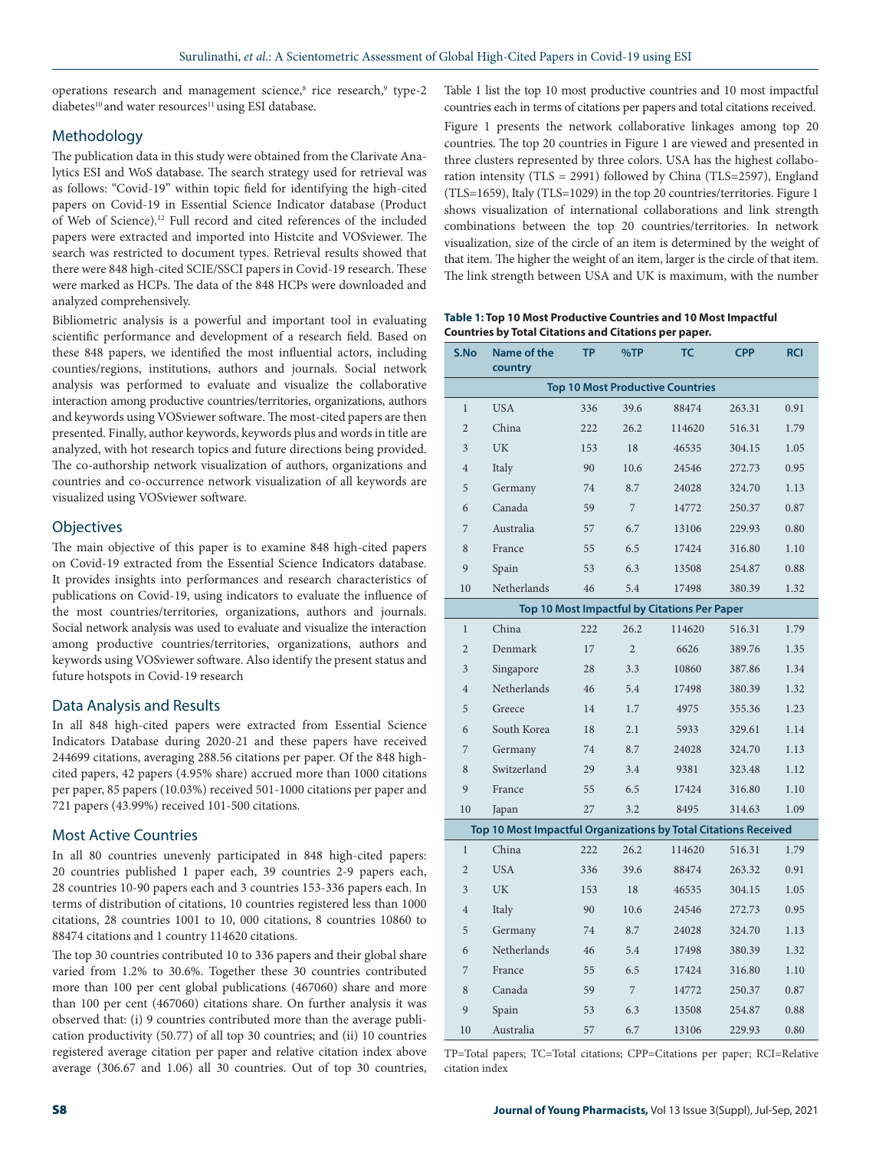operations research and management science,<sup>8</sup> rice research,<sup>9</sup> type-2 diabetes<sup>10</sup> and water resources<sup>11</sup> using ESI database.

## Methodology

The publication data in this study were obtained from the Clarivate Analytics ESI and WoS database. The search strategy used for retrieval was as follows: "Covid-19" within topic field for identifying the high-cited papers on Covid-19 in Essential Science Indicator database (Product of Web of Science).12 Full record and cited references of the included papers were extracted and imported into Histcite and VOSviewer. The search was restricted to document types. Retrieval results showed that there were 848 high-cited SCIE/SSCI papers in Covid-19 research. These were marked as HCPs. The data of the 848 HCPs were downloaded and analyzed comprehensively.

Bibliometric analysis is a powerful and important tool in evaluating scientific performance and development of a research field. Based on these 848 papers, we identified the most influential actors, including counties/regions, institutions, authors and journals. Social network analysis was performed to evaluate and visualize the collaborative interaction among productive countries/territories, organizations, authors and keywords using VOSviewer software. The most-cited papers are then presented. Finally, author keywords, keywords plus and words in title are analyzed, with hot research topics and future directions being provided. The co-authorship network visualization of authors, organizations and countries and co-occurrence network visualization of all keywords are visualized using VOSviewer software.

## **Objectives**

The main objective of this paper is to examine 848 high-cited papers on Covid-19 extracted from the Essential Science Indicators database. It provides insights into performances and research characteristics of publications on Covid-19, using indicators to evaluate the influence of the most countries/territories, organizations, authors and journals. Social network analysis was used to evaluate and visualize the interaction among productive countries/territories, organizations, authors and keywords using VOSviewer software. Also identify the present status and future hotspots in Covid-19 research

## Data Analysis and Results

In all 848 high-cited papers were extracted from Essential Science Indicators Database during 2020-21 and these papers have received 244699 citations, averaging 288.56 citations per paper. Of the 848 highcited papers, 42 papers (4.95% share) accrued more than 1000 citations per paper, 85 papers (10.03%) received 501-1000 citations per paper and 721 papers (43.99%) received 101-500 citations.

### Most Active Countries

In all 80 countries unevenly participated in 848 high-cited papers: 20 countries published 1 paper each, 39 countries 2-9 papers each, 28 countries 10-90 papers each and 3 countries 153-336 papers each. In terms of distribution of citations, 10 countries registered less than 1000 citations, 28 countries 1001 to 10, 000 citations, 8 countries 10860 to 88474 citations and 1 country 114620 citations.

The top 30 countries contributed 10 to 336 papers and their global share varied from 1.2% to 30.6%. Together these 30 countries contributed more than 100 per cent global publications (467060) share and more than 100 per cent (467060) citations share. On further analysis it was observed that: (i) 9 countries contributed more than the average publication productivity (50.77) of all top 30 countries; and (ii) 10 countries registered average citation per paper and relative citation index above average (306.67 and 1.06) all 30 countries. Out of top 30 countries,

countries each in terms of citations per papers and total citations received. Figure 1 presents the network collaborative linkages among top 20 countries. The top 20 countries in Figure 1 are viewed and presented in three clusters represented by three colors. USA has the highest collaboration intensity (TLS = 2991) followed by China (TLS=2597), England (TLS=1659), Italy (TLS=1029) in the top 20 countries/territories. Figure 1 shows visualization of international collaborations and link strength combinations between the top 20 countries/territories. In network visualization, size of the circle of an item is determined by the weight of that item. The higher the weight of an item, larger is the circle of that item. The link strength between USA and UK is maximum, with the number

Table 1 list the top 10 most productive countries and 10 most impactful

**Table 1: Top 10 Most Productive Countries and 10 Most Impactful Countries by Total Citations and Citations per paper.**

| S.No                                         | Name of the<br>country                                          | TP  | %TP            | TC     | <b>CPP</b> | <b>RCI</b> |  |  |  |
|----------------------------------------------|-----------------------------------------------------------------|-----|----------------|--------|------------|------------|--|--|--|
| <b>Top 10 Most Productive Countries</b>      |                                                                 |     |                |        |            |            |  |  |  |
| $\mathbf{1}$                                 | <b>USA</b>                                                      | 336 | 39.6           | 88474  | 263.31     | 0.91       |  |  |  |
| $\overline{2}$                               | China                                                           | 222 | 26.2           | 114620 | 516.31     | 1.79       |  |  |  |
| 3                                            | UK                                                              | 153 | 18             | 46535  | 304.15     | 1.05       |  |  |  |
| $\overline{4}$                               | Italy                                                           | 90  | 10.6           | 24546  | 272.73     | 0.95       |  |  |  |
| 5                                            | Germany                                                         | 74  | 8.7            | 24028  | 324.70     | 1.13       |  |  |  |
| 6                                            | Canada                                                          | 59  | $\overline{7}$ | 14772  | 250.37     | 0.87       |  |  |  |
| 7                                            | Australia                                                       | 57  | 6.7            | 13106  | 229.93     | 0.80       |  |  |  |
| 8                                            | France                                                          | 55  | 6.5            | 17424  | 316.80     | 1.10       |  |  |  |
| 9                                            | Spain                                                           | 53  | 6.3            | 13508  | 254.87     | 0.88       |  |  |  |
| 10                                           | Netherlands                                                     | 46  | 5.4            | 17498  | 380.39     | 1.32       |  |  |  |
| Top 10 Most Impactful by Citations Per Paper |                                                                 |     |                |        |            |            |  |  |  |
| $\mathbf{1}$                                 | China                                                           | 222 | 26.2           | 114620 | 516.31     | 1.79       |  |  |  |
| $\overline{2}$                               | Denmark                                                         | 17  | $\overline{2}$ | 6626   | 389.76     | 1.35       |  |  |  |
| 3                                            | Singapore                                                       | 28  | 3.3            | 10860  | 387.86     | 1.34       |  |  |  |
| $\overline{4}$                               | Netherlands                                                     | 46  | 5.4            | 17498  | 380.39     | 1.32       |  |  |  |
| 5                                            | Greece                                                          | 14  | 1.7            | 4975   | 355.36     | 1.23       |  |  |  |
| 6                                            | South Korea                                                     | 18  | 2.1            | 5933   | 329.61     | 1.14       |  |  |  |
| 7                                            | Germany                                                         | 74  | 8.7            | 24028  | 324.70     | 1.13       |  |  |  |
| 8                                            | Switzerland                                                     | 29  | 3.4            | 9381   | 323.48     | 1.12       |  |  |  |
| 9                                            | France                                                          | 55  | 6.5            | 17424  | 316.80     | 1.10       |  |  |  |
| 10                                           | Japan                                                           | 27  | 3.2            | 8495   | 314.63     | 1.09       |  |  |  |
|                                              | Top 10 Most Impactful Organizations by Total Citations Received |     |                |        |            |            |  |  |  |
| $\mathbf{1}$                                 | China                                                           | 222 | 26.2           | 114620 | 516.31     | 1.79       |  |  |  |
| $\overline{2}$                               | <b>USA</b>                                                      | 336 | 39.6           | 88474  | 263.32     | 0.91       |  |  |  |
| 3                                            | <b>UK</b>                                                       | 153 | 18             | 46535  | 304.15     | 1.05       |  |  |  |
| $\overline{4}$                               | Italy                                                           | 90  | 10.6           | 24546  | 272.73     | 0.95       |  |  |  |
| 5                                            | Germany                                                         | 74  | 8.7            | 24028  | 324.70     | 1.13       |  |  |  |
| 6                                            | Netherlands                                                     | 46  | 5.4            | 17498  | 380.39     | 1.32       |  |  |  |
| 7                                            | France                                                          | 55  | 6.5            | 17424  | 316.80     | 1.10       |  |  |  |
| 8                                            | Canada                                                          | 59  | 7              | 14772  | 250.37     | 0.87       |  |  |  |
| 9                                            | Spain                                                           | 53  | 6.3            | 13508  | 254.87     | 0.88       |  |  |  |
| 10                                           | Australia                                                       | 57  | 6.7            | 13106  | 229.93     | 0.80       |  |  |  |

TP=Total papers; TC=Total citations; CPP=Citations per paper; RCI=Relative citation index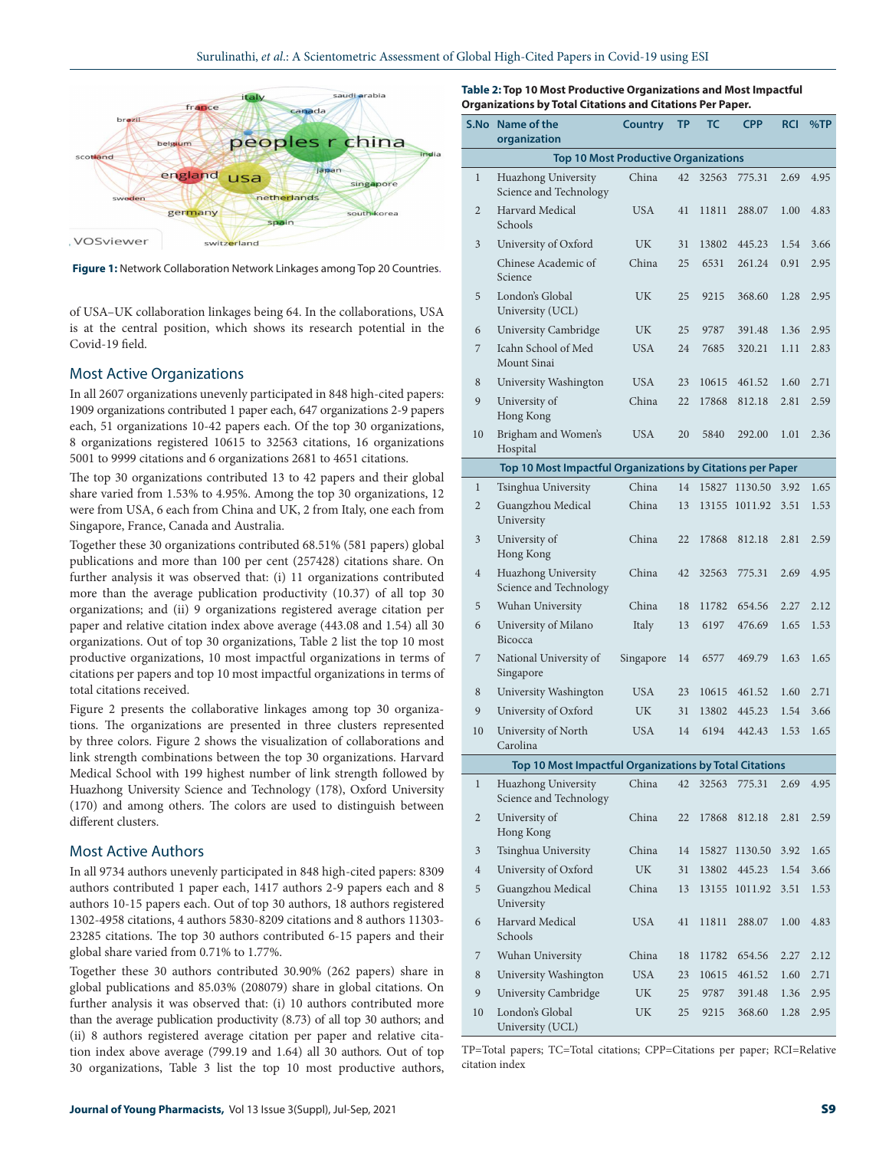

**Figure 1:** Network Collaboration Network Linkages among Top 20 Countries.

of USA–UK collaboration linkages being 64. In the collaborations, USA is at the central position, which shows its research potential in the Covid-19 field.

#### Most Active Organizations

In all 2607 organizations unevenly participated in 848 high-cited papers: 1909 organizations contributed 1 paper each, 647 organizations 2-9 papers each, 51 organizations 10-42 papers each. Of the top 30 organizations, 8 organizations registered 10615 to 32563 citations, 16 organizations 5001 to 9999 citations and 6 organizations 2681 to 4651 citations.

The top 30 organizations contributed 13 to 42 papers and their global share varied from 1.53% to 4.95%. Among the top 30 organizations, 12 were from USA, 6 each from China and UK, 2 from Italy, one each from Singapore, France, Canada and Australia.

Together these 30 organizations contributed 68.51% (581 papers) global publications and more than 100 per cent (257428) citations share. On further analysis it was observed that: (i) 11 organizations contributed more than the average publication productivity (10.37) of all top 30 organizations; and (ii) 9 organizations registered average citation per paper and relative citation index above average (443.08 and 1.54) all 30 organizations. Out of top 30 organizations, Table 2 list the top 10 most productive organizations, 10 most impactful organizations in terms of citations per papers and top 10 most impactful organizations in terms of total citations received.

Figure 2 presents the collaborative linkages among top 30 organizations. The organizations are presented in three clusters represented by three colors. Figure 2 shows the visualization of collaborations and link strength combinations between the top 30 organizations. Harvard Medical School with 199 highest number of link strength followed by Huazhong University Science and Technology (178), Oxford University (170) and among others. The colors are used to distinguish between different clusters.

## Most Active Authors

In all 9734 authors unevenly participated in 848 high-cited papers: 8309 authors contributed 1 paper each, 1417 authors 2-9 papers each and 8 authors 10-15 papers each. Out of top 30 authors, 18 authors registered 1302-4958 citations, 4 authors 5830-8209 citations and 8 authors 11303- 23285 citations. The top 30 authors contributed 6-15 papers and their global share varied from 0.71% to 1.77%.

Together these 30 authors contributed 30.90% (262 papers) share in global publications and 85.03% (208079) share in global citations. On further analysis it was observed that: (i) 10 authors contributed more than the average publication productivity (8.73) of all top 30 authors; and (ii) 8 authors registered average citation per paper and relative citation index above average (799.19 and 1.64) all 30 authors. Out of top 30 organizations, Table 3 list the top 10 most productive authors,

**Table 2: Top 10 Most Productive Organizations and Most Impactful Organizations by Total Citations and Citations Per Paper.**

| S.No                                        | <b>Name of the</b><br>organization                         | <b>Country</b> | ТP | ТС    | <b>CPP</b> | <b>RCI</b> | %TP  |  |  |  |
|---------------------------------------------|------------------------------------------------------------|----------------|----|-------|------------|------------|------|--|--|--|
| <b>Top 10 Most Productive Organizations</b> |                                                            |                |    |       |            |            |      |  |  |  |
| $\mathbf{1}$                                | Huazhong University<br>Science and Technology              | China          | 42 | 32563 | 775.31     | 2.69       | 4.95 |  |  |  |
| 2                                           | <b>Harvard Medical</b><br>Schools                          | <b>USA</b>     | 41 | 11811 | 288.07     | 1.00       | 4.83 |  |  |  |
| 3                                           | University of Oxford                                       | UK             | 31 | 13802 | 445.23     | 1.54       | 3.66 |  |  |  |
|                                             | Chinese Academic of<br>Science                             | China          | 25 | 6531  | 261.24     | 0.91       | 2.95 |  |  |  |
| 5                                           | London's Global<br>University (UCL)                        | UK             | 25 | 9215  | 368.60     | 1.28       | 2.95 |  |  |  |
| 6                                           | University Cambridge                                       | UK             | 25 | 9787  | 391.48     | 1.36       | 2.95 |  |  |  |
| 7                                           | Icahn School of Med<br>Mount Sinai                         | <b>USA</b>     | 24 | 7685  | 320.21     | 1.11       | 2.83 |  |  |  |
| 8                                           | University Washington                                      | <b>USA</b>     | 23 | 10615 | 461.52     | 1.60       | 2.71 |  |  |  |
| 9                                           | University of<br>Hong Kong                                 | China          | 22 | 17868 | 812.18     | 2.81       | 2.59 |  |  |  |
| 10                                          | Brigham and Women's<br>Hospital                            | <b>USA</b>     | 20 | 5840  | 292.00     | 1.01       | 2.36 |  |  |  |
|                                             | Top 10 Most Impactful Organizations by Citations per Paper |                |    |       |            |            |      |  |  |  |
| $\mathbf{1}$                                | Tsinghua University                                        | China          | 14 | 15827 | 1130.50    | 3.92       | 1.65 |  |  |  |
| $\overline{2}$                              | Guangzhou Medical<br>University                            | China          | 13 | 13155 | 1011.92    | 3.51       | 1.53 |  |  |  |
| 3                                           | University of<br>Hong Kong                                 | China          | 22 | 17868 | 812.18     | 2.81       | 2.59 |  |  |  |
| $\overline{4}$                              | Huazhong University<br>Science and Technology              | China          | 42 | 32563 | 775.31     | 2.69       | 4.95 |  |  |  |
| 5                                           | Wuhan University                                           | China          | 18 | 11782 | 654.56     | 2.27       | 2.12 |  |  |  |
| 6                                           | University of Milano<br>Bicocca                            | Italy          | 13 | 6197  | 476.69     | 1.65       | 1.53 |  |  |  |
| 7                                           | National University of<br>Singapore                        | Singapore      | 14 | 6577  | 469.79     | 1.63       | 1.65 |  |  |  |
| 8                                           | University Washington                                      | <b>USA</b>     | 23 | 10615 | 461.52     | 1.60       | 2.71 |  |  |  |
| 9                                           | University of Oxford                                       | UK             | 31 | 13802 | 445.23     | 1.54       | 3.66 |  |  |  |
| 10                                          | University of North<br>Carolina                            | <b>USA</b>     | 14 | 6194  | 442.43     | 1.53       | 1.65 |  |  |  |
|                                             | Top 10 Most Impactful Organizations by Total Citations     |                |    |       |            |            |      |  |  |  |
| $\mathbf{1}$                                | Huazhong University<br>Science and Technology              | China          | 42 | 32563 | 775.31     | 2.69       | 4.95 |  |  |  |
| $\mathbf{2}$                                | University of<br>Hong Kong                                 | China          | 22 | 17868 | 812.18     | 2.81       | 2.59 |  |  |  |
| 3                                           | Tsinghua University                                        | China          | 14 | 15827 | 1130.50    | 3.92       | 1.65 |  |  |  |
| $\overline{4}$                              | University of Oxford                                       | UK             | 31 | 13802 | 445.23     | 1.54       | 3.66 |  |  |  |
| 5                                           | Guangzhou Medical<br>University                            | China          | 13 | 13155 | 1011.92    | 3.51       | 1.53 |  |  |  |
| 6                                           | Harvard Medical<br>Schools                                 | <b>USA</b>     | 41 | 11811 | 288.07     | 1.00       | 4.83 |  |  |  |
| 7                                           | Wuhan University                                           | China          | 18 | 11782 | 654.56     | 2.27       | 2.12 |  |  |  |
| 8                                           | University Washington                                      | <b>USA</b>     | 23 | 10615 | 461.52     | 1.60       | 2.71 |  |  |  |
| 9                                           | University Cambridge                                       | UK             | 25 | 9787  | 391.48     | 1.36       | 2.95 |  |  |  |
| 10                                          | London's Global<br>University (UCL)                        | UK             | 25 | 9215  | 368.60     | 1.28       | 2.95 |  |  |  |

TP=Total papers; TC=Total citations; CPP=Citations per paper; RCI=Relative citation index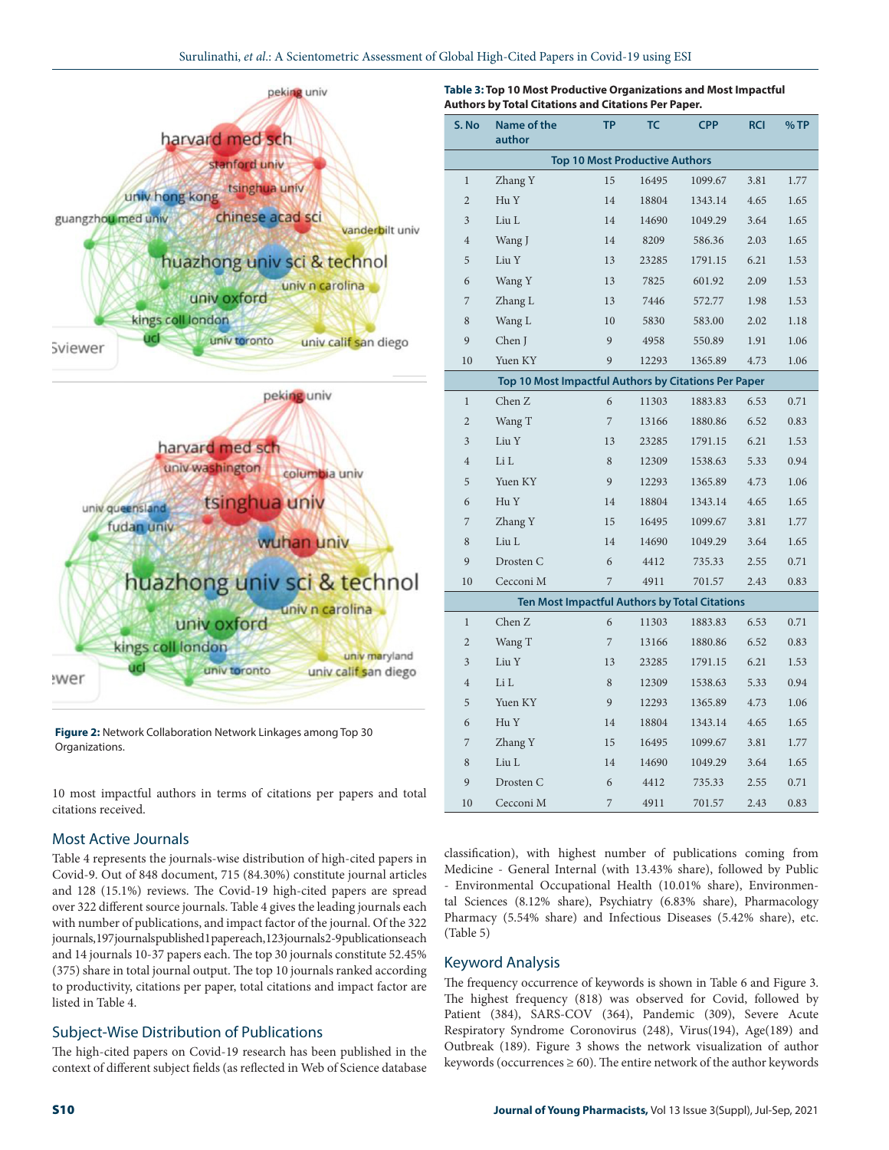#### Surulinathi, *et al*.: A Scientometric Assessment of Global High-Cited Papers in Covid-19 using ESI



**Figure 2:** Network Collaboration Network Linkages among Top 30 Organizations.

10 most impactful authors in terms of citations per papers and total citations received.

# Most Active Journals

Table 4 represents the journals-wise distribution of high-cited papers in Covid-9. Out of 848 document, 715 (84.30%) constitute journal articles and 128 (15.1%) reviews. The Covid-19 high-cited papers are spread over 322 different source journals. Table 4 gives the leading journals each with number of publications, and impact factor of the journal. Of the 322 journals, 197 journals published 1 paper each, 123 journals 2-9 publications each and 14 journals 10-37 papers each. The top 30 journals constitute 52.45% (375) share in total journal output. The top 10 journals ranked according to productivity, citations per paper, total citations and impact factor are listed in Table 4.

## Subject-Wise Distribution of Publications

The high-cited papers on Covid-19 research has been published in the context of different subject fields (as reflected in Web of Science database

| Table 3: Top 10 Most Productive Organizations and Most Impactful |  |
|------------------------------------------------------------------|--|
| Authors by Total Citations and Citations Per Paper.              |  |

| S. No                                 | <b>Name of the</b><br>author                         | ΤP | ТС    | <b>CPP</b>                                    | <b>RCI</b> | $%$ TP |  |  |  |  |
|---------------------------------------|------------------------------------------------------|----|-------|-----------------------------------------------|------------|--------|--|--|--|--|
| <b>Top 10 Most Productive Authors</b> |                                                      |    |       |                                               |            |        |  |  |  |  |
| $\mathbf 1$                           | Zhang Y                                              | 15 | 16495 | 1099.67                                       | 3.81       | 1.77   |  |  |  |  |
| $\overline{2}$                        | Hu Y                                                 | 14 | 18804 | 1343.14                                       | 4.65       | 1.65   |  |  |  |  |
| $\overline{\mathbf{3}}$               | Liu L                                                | 14 | 14690 | 1049.29                                       | 3.64       | 1.65   |  |  |  |  |
| $\overline{4}$                        | Wang J                                               | 14 | 8209  | 586.36                                        | 2.03       | 1.65   |  |  |  |  |
| 5                                     | Liu Y                                                | 13 | 23285 | 1791.15                                       | 6.21       | 1.53   |  |  |  |  |
| 6                                     | Wang Y                                               | 13 | 7825  | 601.92                                        | 2.09       | 1.53   |  |  |  |  |
| 7                                     | Zhang L                                              | 13 | 7446  | 572.77                                        | 1.98       | 1.53   |  |  |  |  |
| 8                                     | Wang L                                               | 10 | 5830  | 583.00                                        | 2.02       | 1.18   |  |  |  |  |
| 9                                     | Chen J                                               | 9  | 4958  | 550.89                                        | 1.91       | 1.06   |  |  |  |  |
| 10                                    | Yuen KY                                              | 9  | 12293 | 1365.89                                       | 4.73       | 1.06   |  |  |  |  |
|                                       | Top 10 Most Impactful Authors by Citations Per Paper |    |       |                                               |            |        |  |  |  |  |
| $\mathbf 1$                           | Chen Z                                               | 6  | 11303 | 1883.83                                       | 6.53       | 0.71   |  |  |  |  |
| $\overline{2}$                        | Wang T                                               | 7  | 13166 | 1880.86                                       | 6.52       | 0.83   |  |  |  |  |
| 3                                     | Liu Y                                                | 13 | 23285 | 1791.15                                       | 6.21       | 1.53   |  |  |  |  |
| $\overline{4}$                        | Li L                                                 | 8  | 12309 | 1538.63                                       | 5.33       | 0.94   |  |  |  |  |
| 5                                     | Yuen KY                                              | 9  | 12293 | 1365.89                                       | 4.73       | 1.06   |  |  |  |  |
| 6                                     | Hu Y                                                 | 14 | 18804 | 1343.14                                       | 4.65       | 1.65   |  |  |  |  |
| 7                                     | Zhang Y                                              | 15 | 16495 | 1099.67                                       | 3.81       | 1.77   |  |  |  |  |
| 8                                     | Liu L                                                | 14 | 14690 | 1049.29                                       | 3.64       | 1.65   |  |  |  |  |
| 9                                     | Drosten C                                            | 6  | 4412  | 735.33                                        | 2.55       | 0.71   |  |  |  |  |
| 10                                    | Cecconi M                                            | 7  | 4911  | 701.57                                        | 2.43       | 0.83   |  |  |  |  |
|                                       |                                                      |    |       | Ten Most Impactful Authors by Total Citations |            |        |  |  |  |  |
| $\mathbf{1}$                          | Chen Z                                               | 6  | 11303 | 1883.83                                       | 6.53       | 0.71   |  |  |  |  |
| $\overline{c}$                        | Wang T                                               | 7  | 13166 | 1880.86                                       | 6.52       | 0.83   |  |  |  |  |
| 3                                     | Liu Y                                                | 13 | 23285 | 1791.15                                       | 6.21       | 1.53   |  |  |  |  |
| $\overline{4}$                        | Li L                                                 | 8  | 12309 | 1538.63                                       | 5.33       | 0.94   |  |  |  |  |
| 5                                     | Yuen KY                                              | 9  | 12293 | 1365.89                                       | 4.73       | 1.06   |  |  |  |  |
| 6                                     | Hu Y                                                 | 14 | 18804 | 1343.14                                       | 4.65       | 1.65   |  |  |  |  |
| 7                                     | Zhang Y                                              | 15 | 16495 | 1099.67                                       | 3.81       | 1.77   |  |  |  |  |
| 8                                     | Liu L                                                | 14 | 14690 | 1049.29                                       | 3.64       | 1.65   |  |  |  |  |
| 9                                     | Drosten C                                            | 6  | 4412  | 735.33                                        | 2.55       | 0.71   |  |  |  |  |
| 10                                    | Cecconi M                                            | 7  | 4911  | 701.57                                        | 2.43       | 0.83   |  |  |  |  |

classification), with highest number of publications coming from Medicine - General Internal (with 13.43% share), followed by Public - Environmental Occupational Health (10.01% share), Environmental Sciences (8.12% share), Psychiatry (6.83% share), Pharmacology Pharmacy (5.54% share) and Infectious Diseases (5.42% share), etc. (Table 5)

# Keyword Analysis

The frequency occurrence of keywords is shown in Table 6 and Figure 3. The highest frequency (818) was observed for Covid, followed by Patient (384), SARS-COV (364), Pandemic (309), Severe Acute Respiratory Syndrome Coronovirus (248), Virus(194), Age(189) and Outbreak (189). Figure 3 shows the network visualization of author keywords (occurrences  $\geq$  60). The entire network of the author keywords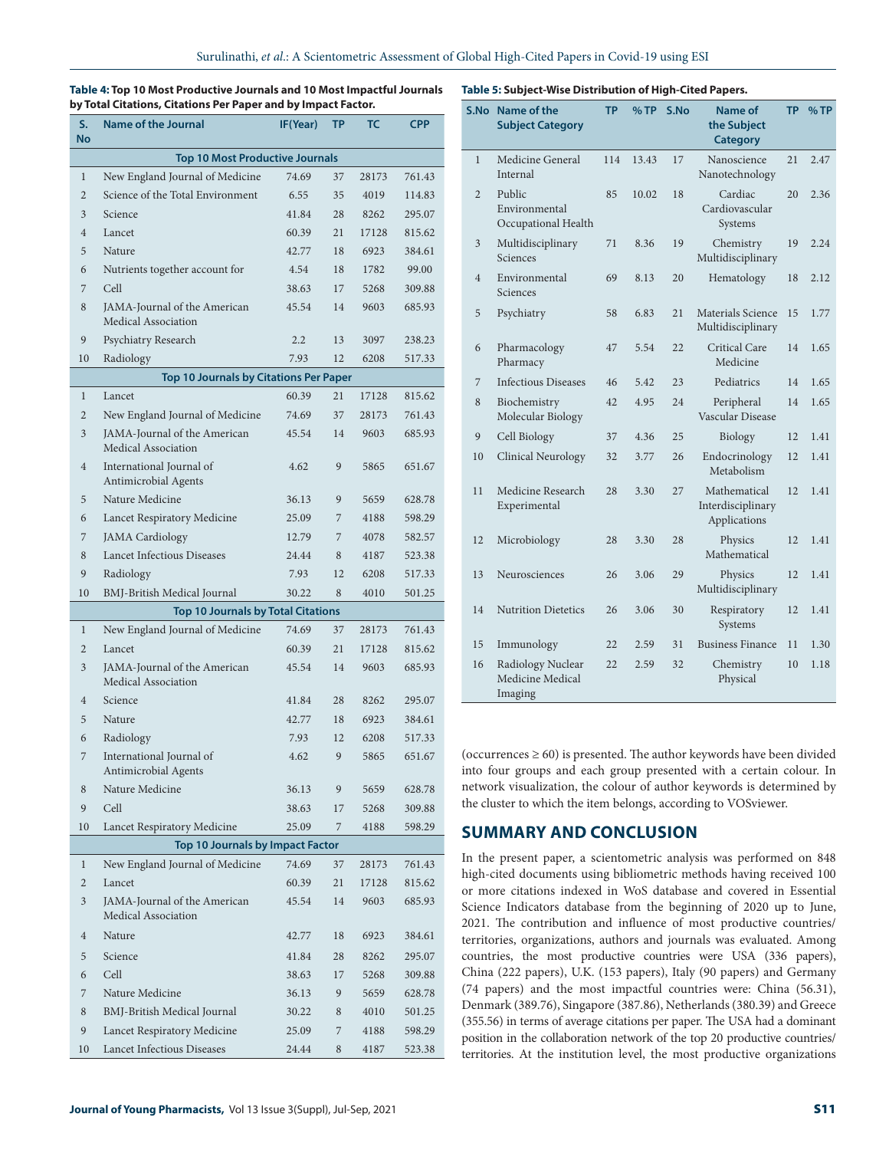**Table 4: Top 10 Most Productive Journals and 10 Most Impactful Journals by Total Citations, Citations Per Paper and by Impact Factor.**

| S.<br>No                               | <b>Name of the Journal</b>                          | IF(Year) | ΤP | ТС    | <b>CPP</b> |  |  |  |
|----------------------------------------|-----------------------------------------------------|----------|----|-------|------------|--|--|--|
| <b>Top 10 Most Productive Journals</b> |                                                     |          |    |       |            |  |  |  |
| $\mathbf{1}$                           | New England Journal of Medicine                     | 74.69    | 37 | 28173 | 761.43     |  |  |  |
| $\overline{2}$                         | Science of the Total Environment                    | 6.55     | 35 | 4019  | 114.83     |  |  |  |
| 3                                      | Science                                             | 41.84    | 28 | 8262  | 295.07     |  |  |  |
| $\overline{4}$                         | Lancet                                              | 60.39    | 21 | 17128 | 815.62     |  |  |  |
| 5                                      | Nature                                              | 42.77    | 18 | 6923  | 384.61     |  |  |  |
| 6                                      | Nutrients together account for                      | 4.54     | 18 | 1782  | 99.00      |  |  |  |
| 7                                      | Cell                                                | 38.63    | 17 | 5268  | 309.88     |  |  |  |
| 8                                      | JAMA-Journal of the American<br>Medical Association | 45.54    | 14 | 9603  | 685.93     |  |  |  |
| 9                                      | Psychiatry Research                                 | 2.2      | 13 | 3097  | 238.23     |  |  |  |
| 10                                     | Radiology                                           | 7.93     | 12 | 6208  | 517.33     |  |  |  |
|                                        | <b>Top 10 Journals by Citations Per Paper</b>       |          |    |       |            |  |  |  |
| $\mathbf 1$                            | Lancet                                              | 60.39    | 21 | 17128 | 815.62     |  |  |  |
| $\overline{2}$                         | New England Journal of Medicine                     | 74.69    | 37 | 28173 | 761.43     |  |  |  |
| 3                                      | JAMA-Journal of the American<br>Medical Association | 45.54    | 14 | 9603  | 685.93     |  |  |  |
| $\overline{4}$                         | International Journal of<br>Antimicrobial Agents    | 4.62     | 9  | 5865  | 651.67     |  |  |  |
| 5                                      | Nature Medicine                                     | 36.13    | 9  | 5659  | 628.78     |  |  |  |
| 6                                      | Lancet Respiratory Medicine                         | 25.09    | 7  | 4188  | 598.29     |  |  |  |
| 7                                      | <b>JAMA</b> Cardiology                              | 12.79    | 7  | 4078  | 582.57     |  |  |  |
| 8                                      | <b>Lancet Infectious Diseases</b>                   | 24.44    | 8  | 4187  | 523.38     |  |  |  |
| 9                                      | Radiology                                           | 7.93     | 12 | 6208  | 517.33     |  |  |  |
| 10                                     | BMJ-British Medical Journal                         | 30.22    | 8  | 4010  | 501.25     |  |  |  |
|                                        | <b>Top 10 Journals by Total Citations</b>           |          |    |       |            |  |  |  |
| $\mathbf{1}$                           | New England Journal of Medicine                     | 74.69    | 37 | 28173 | 761.43     |  |  |  |
| 2                                      | Lancet                                              | 60.39    | 21 | 17128 | 815.62     |  |  |  |
| 3                                      | JAMA-Journal of the American<br>Medical Association | 45.54    | 14 | 9603  | 685.93     |  |  |  |
| 4                                      | Science                                             | 41.84    | 28 | 8262  | 295.07     |  |  |  |
| 5                                      | Nature                                              | 42.77    | 18 | 6923  | 384.61     |  |  |  |
| 6                                      | Radiology                                           | 7.93     | 12 | 6208  | 517.33     |  |  |  |
| 7                                      | International Journal of<br>Antimicrobial Agents    | 4.62     | 9  | 5865  | 651.67     |  |  |  |
| 8                                      | Nature Medicine                                     | 36.13    | 9  | 5659  | 628.78     |  |  |  |
| 9                                      | Cell                                                | 38.63    | 17 | 5268  | 309.88     |  |  |  |
| 10                                     | Lancet Respiratory Medicine                         | 25.09    | 7  | 4188  | 598.29     |  |  |  |
|                                        | <b>Top 10 Journals by Impact Factor</b>             |          |    |       |            |  |  |  |
| $\mathbf{1}$                           | New England Journal of Medicine                     | 74.69    | 37 | 28173 | 761.43     |  |  |  |
| $\overline{2}$                         | Lancet                                              | 60.39    | 21 | 17128 | 815.62     |  |  |  |
| 3                                      | JAMA-Journal of the American<br>Medical Association | 45.54    | 14 | 9603  | 685.93     |  |  |  |
| 4                                      | Nature                                              | 42.77    | 18 | 6923  | 384.61     |  |  |  |
| 5                                      | Science                                             | 41.84    | 28 | 8262  | 295.07     |  |  |  |
| 6                                      | Cell                                                | 38.63    | 17 | 5268  | 309.88     |  |  |  |
| 7                                      | Nature Medicine                                     | 36.13    | 9  | 5659  | 628.78     |  |  |  |
| 8                                      | BMJ-British Medical Journal                         | 30.22    | 8  | 4010  | 501.25     |  |  |  |
| 9                                      | Lancet Respiratory Medicine                         | 25.09    | 7  | 4188  | 598.29     |  |  |  |
| 10                                     | Lancet Infectious Diseases                          | 24.44    | 8  | 4187  | 523.38     |  |  |  |

|  |  | Table 5: Subject-Wise Distribution of High-Cited Papers. |
|--|--|----------------------------------------------------------|
|--|--|----------------------------------------------------------|

| S.No           | <b>Name of the</b><br><b>Subject Category</b>    | <b>TP</b> | %TP   | S.No | Name of<br>the Subject<br><b>Category</b>         | <b>TP</b> | %TP  |
|----------------|--------------------------------------------------|-----------|-------|------|---------------------------------------------------|-----------|------|
| $\mathbf{1}$   | Medicine General<br>Internal                     | 114       | 13.43 | 17   | Nanoscience<br>Nanotechnology                     | 21        | 2.47 |
| $\overline{2}$ | Public<br>Environmental<br>Occupational Health   | 85        | 10.02 | 18   | Cardiac<br>Cardiovascular<br>Systems              | 20        | 2.36 |
| 3              | Multidisciplinary<br>Sciences                    | 71        | 8.36  | 19   | Chemistry<br>Multidisciplinary                    | 19        | 2.24 |
| $\overline{4}$ | Environmental<br>Sciences                        | 69        | 8.13  | 20   | Hematology                                        | 18        | 2.12 |
| 5              | Psychiatry                                       | 58        | 6.83  | 21   | Materials Science<br>Multidisciplinary            | 15        | 1.77 |
| 6              | Pharmacology<br>Pharmacy                         | 47        | 5.54  | 22   | Critical Care<br>Medicine                         | 14        | 1.65 |
| 7              | <b>Infectious Diseases</b>                       | 46        | 5.42  | 23   | Pediatrics                                        | 14        | 1.65 |
| 8              | Biochemistry<br>Molecular Biology                | 42        | 4.95  | 24   | Peripheral<br>Vascular Disease                    | 14        | 1.65 |
| 9              | Cell Biology                                     | 37        | 4.36  | 25   | Biology                                           | 12        | 1.41 |
| 10             | Clinical Neurology                               | 32        | 3.77  | 26   | Endocrinology<br>Metabolism                       | 12        | 1.41 |
| 11             | Medicine Research<br>Experimental                | 28        | 3.30  | 27   | Mathematical<br>Interdisciplinary<br>Applications | 12        | 1.41 |
| 12             | Microbiology                                     | 28        | 3.30  | 28   | Physics<br>Mathematical                           | 12        | 1.41 |
| 13             | Neurosciences                                    | 26        | 3.06  | 29   | Physics<br>Multidisciplinary                      | 12        | 1.41 |
| 14             | <b>Nutrition Dietetics</b>                       | 26        | 3.06  | 30   | Respiratory<br>Systems                            | 12        | 1.41 |
| 15             | Immunology                                       | 22        | 2.59  | 31   | <b>Business Finance</b>                           | 11        | 1.30 |
| 16             | Radiology Nuclear<br>Medicine Medical<br>Imaging | 22        | 2.59  | 32   | Chemistry<br>Physical                             | 10        | 1.18 |

(occurrences  $\geq 60$ ) is presented. The author keywords have been divided into four groups and each group presented with a certain colour. In network visualization, the colour of author keywords is determined by the cluster to which the item belongs, according to VOSviewer.

# **SUMMARY AND CONCLUSION**

In the present paper, a scientometric analysis was performed on 848 high-cited documents using bibliometric methods having received 100 or more citations indexed in WoS database and covered in Essential Science Indicators database from the beginning of 2020 up to June, 2021. The contribution and influence of most productive countries/ territories, organizations, authors and journals was evaluated. Among countries, the most productive countries were USA (336 papers), China (222 papers), U.K. (153 papers), Italy (90 papers) and Germany (74 papers) and the most impactful countries were: China (56.31), Denmark (389.76), Singapore (387.86), Netherlands (380.39) and Greece (355.56) in terms of average citations per paper. The USA had a dominant position in the collaboration network of the top 20 productive countries/ territories. At the institution level, the most productive organizations